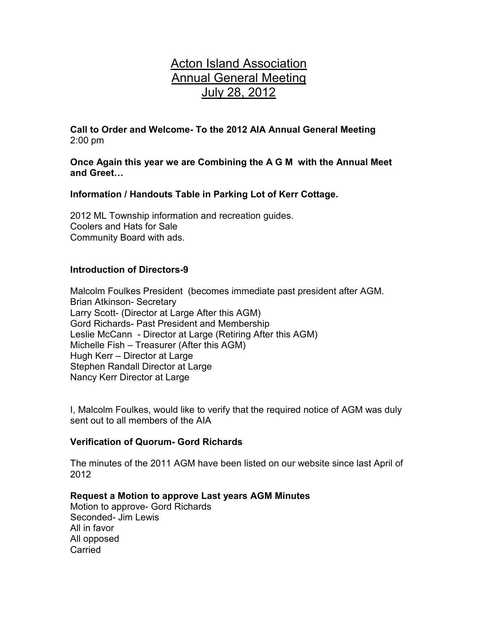# Acton Island Association Annual General Meeting July 28, 2012

**Call to Order and Welcome- To the 2012 AIA Annual General Meeting**  2:00 pm

**Once Again this year we are Combining the A G M with the Annual Meet**  and Greet...

**Information / Handouts Table in Parking Lot of Kerr Cottage.** 

2012 ML Township information and recreation guides. Coolers and Hats for Sale Community Board with ads.

# **Introduction of Directors-9**

Malcolm Foulkes President (becomes immediate past president after AGM. Brian Atkinson- Secretary Larry Scott- (Director at Large After this AGM) Gord Richards- Past President and Membership Leslie McCann - Director at Large (Retiring After this AGM) Michelle Fish – Treasurer (After this AGM) Hugh Kerr – Director at Large Stephen Randall Director at Large Nancy Kerr Director at Large

I, Malcolm Foulkes, would like to verify that the required notice of AGM was duly sent out to all members of the AIA

## **Verification of Quorum- Gord Richards**

The minutes of the 2011 AGM have been listed on our website since last April of 2012

# **Request a Motion to approve Last years AGM Minutes**

Motion to approve- Gord Richards Seconded- Jim Lewis All in favor All opposed **Carried**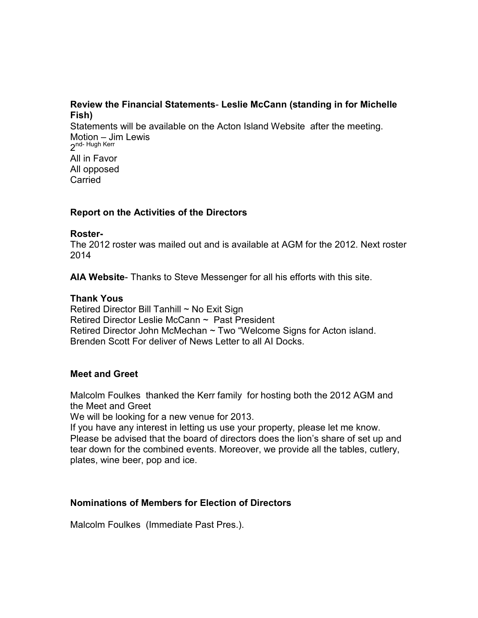## **Review the Financial Statements**- **Leslie McCann (standing in for Michelle Fish)**

Statements will be available on the Acton Island Website after the meeting. Motion – Jim Lewis 2<sup>nd- Hugh Kerr</sup> All in Favor All opposed **Carried** 

# **Report on the Activities of the Directors**

#### **Roster-**

The 2012 roster was mailed out and is available at AGM for the 2012. Next roster 2014

**AIA Website**- Thanks to Steve Messenger for all his efforts with this site.

#### **Thank Yous**

Retired Director Bill Tanhill ~ No Exit Sign Retired Director Leslie McCann ~ Past President Retired Director John McMechan ~ Two "Welcome Signs for Acton island. Brenden Scott For deliver of News Letter to all AI Docks.

## **Meet and Greet**

Malcolm Foulkes thanked the Kerr family for hosting both the 2012 AGM and the Meet and Greet

We will be looking for a new venue for 2013.

If you have any interest in letting us use your property, please let me know. Please be advised that the board of directors does the lion's share of set up and tear down for the combined events. Moreover, we provide all the tables, cutlery, plates, wine beer, pop and ice.

## **Nominations of Members for Election of Directors**

Malcolm Foulkes (Immediate Past Pres.).